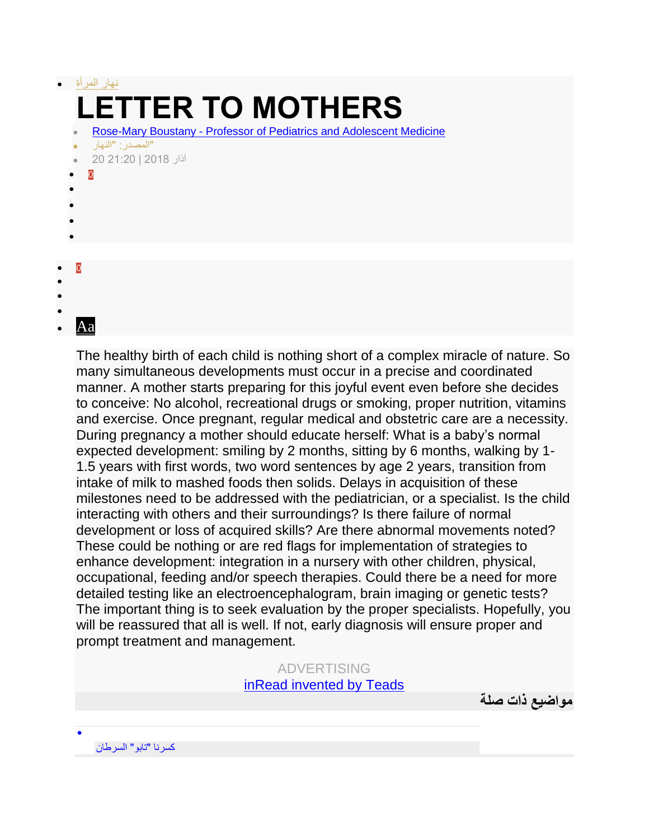| $\bullet$                   | نهار المر أة                                                         |
|-----------------------------|----------------------------------------------------------------------|
|                             | <b>LETTER TO MOTHERS</b>                                             |
|                             | Rose-Mary Boustany - Professor of Pediatrics and Adolescent Medicine |
|                             | "المصدر : "النهار<br>آذار 2018   20:20 20                            |
| $\ddot{\bullet}$            | 0                                                                    |
|                             |                                                                      |
|                             |                                                                      |
|                             |                                                                      |
| $\overline{0}$<br>$\bullet$ |                                                                      |
| $\bullet$                   |                                                                      |
| $\bullet$                   |                                                                      |

The healthy birth of each child is nothing short of a complex miracle of nature. So many simultaneous developments must occur in a precise and coordinated manner. A mother starts preparing for this joyful event even before she decides to conceive: No alcohol, recreational drugs or smoking, proper nutrition, vitamins and exercise. Once pregnant, regular medical and obstetric care are a necessity. During pregnancy a mother should educate herself: What is a baby's normal expected development: smiling by 2 months, sitting by 6 months, walking by 1- 1.5 years with first words, two word sentences by age 2 years, transition from intake of milk to mashed foods then solids. Delays in acquisition of these milestones need to be addressed with the pediatrician, or a specialist. Is the child interacting with others and their surroundings? Is there failure of normal development or loss of acquired skills? Are there abnormal movements noted? These could be nothing or are red flags for implementation of strategies to enhance development: integration in a nursery with other children, physical, occupational, feeding and/or speech therapies. Could there be a need for more detailed testing like an electroencephalogram, brain imaging or genetic tests? The important thing is to seek evaluation by the proper specialists. Hopefully, you will be reassured that all is well. If not, early diagnosis will ensure proper and prompt treatment and management.

## ADVERTISING inRead [invented by Teads](http://inread-experience.teads.tv/)

**مواضيع ذات صلة**

[كسرنا "تابو" السرطان](https://www.annahar.com/article/778329-%D9%83%D8%B3%D8%B1%D9%86%D8%A7-%D8%AA%D8%A7%D8%A8%D9%88-%D8%A7%D9%84%D8%B3%D8%B1%D8%B7%D8%A7%D9%86)

 $\bullet$